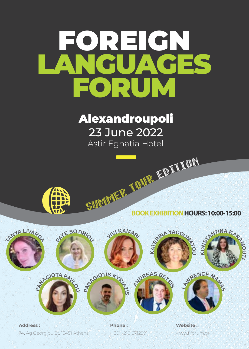# FOREIGN LANGUAGES FORUM

Alexandroupoli 23 June 2022 Astir Egnatia Hotel



SUMMER TO THE TABLE **BOOK EXHIBITION HOURS: 10:00-15:00**

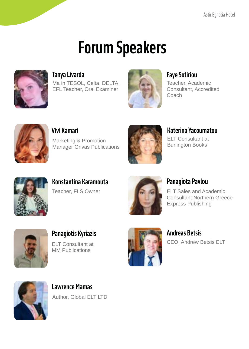## **Forum Speakers**



Ma in TESOL, Celta, DELTA, EFL Teacher, Oral Examiner



Teacher, Academic Consultant, Accredited Coach



**Vivi Kamari**

Marketing & Promotion Manager Grivas Publications



**Katerina Yacoumatou**

ELT Consultant at Burlington Books



**Konstantina Karamouta** Teacher, FLS Owner



## **Panagiota Pavlou**

ELT Sales and Academic Consultant Northern Greece Express Publishing



**Panagiotis Kyriazis** ELT Consultant at MM Publications



**Andreas Betsis** CEO, Andrew Betsis ELT



**Lawrence Mamas** Author, Global ELT LTD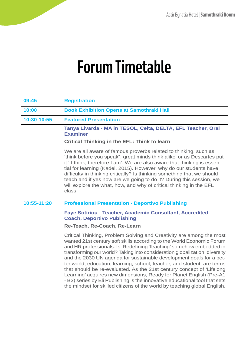## **09:45 Registration 10:00 Book Exhibition Opens at Samothraki Hall 10:30-10:55 Featured Presentation Tanya Livarda - MA in TESOL, Celta, DELTA, EFL Teacher, Oral Examiner Critical Thinking in the EFL: Think to learn** We are all aware of famous proverbs related to thinking, such as 'think before you speak", great minds think alike' or as Descartes put it ' I think; therefore I am'. We are also aware that thinking is essential for learning (Kadel, 2015). However, why do our students have difficulty in thinking critically? Is thinking something that we should teach and if yes how are we going to do it? During this session, we will explore the what, how, and why of critical thinking in the EFL class. **10:55-11:20 Professional Presentation - Deportivo Publishing Faye Sotiriou - Teacher, Academic Consultant, Accredited Coach, Deportivo Publishing Re-Teach, Re-Coach, Re-Learn** Critical Thinking, Problem Solving and Creativity are among the most wanted 21st century soft skills according to the World Economic Forum and HR professionals. Is 'Redefining Teaching' somehow embedded in transforming our world? Taking into consideration globalization, diversity and the 2030 UN agenda for sustainable development goals for a better world, education, learning, school, teacher, and student, are terms that should be re-evaluated. As the 21st century concept of 'Lifelong Learning' acquires new dimensions, Ready for Planet English (Pre-A1

- B2) series by Eli Publishing is the innovative educational tool that sets the mindset for skilled citizens of the world by teaching global English.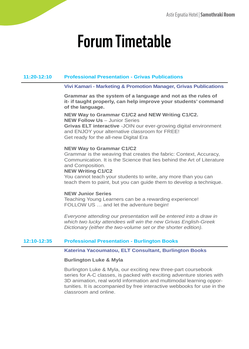## **11:20-12:10 Professional Presentation - Grivas Publications**

## **Vivi Kamari - Marketing & Promotion Manager, Grivas Publications**

**Grammar as the system of a language and not as the rules of it- if taught properly, can help improve your students' command of the language.**

**NEW Way to Grammar C1/C2 and NEW Writing C1/C2. NEW Follow Us** – Junior Series **Grivas ELT interactive** -JOIN our ever-growing digital environment and ENJOY your alternative classroom for FREE! Get ready for the all-new Digital Era

## **NEW Way to Grammar C1/C2**

Grammar is the weaving that creates the fabric: Context, Accuracy, Communication. It is the Science that lies behind the Art of Literature and Composition.

### **NEW Writing C1/C2**

You cannot teach your students to write, any more than you can teach them to paint, but you can guide them to develop a technique.

## **NEW Junior Series**

Teaching Young Learners can be a rewarding experience! FOLLOW US … and let the adventure begin!

*Everyone attending our presentation will be entered into a draw in which two lucky attendees will win the new Grivas English-Greek Dictionary (either the two-volume set or the shorter edition).*

## **12:10-12:35 Professional Presentation - Burlington Books**

### **Katerina Yacoumatou, ELT Consultant, Burlington Books**

## **Burlington Luke & Myla**

Burlington Luke & Myla, our exciting new three-part coursebook series for A-C classes, is packed with exciting adventure stories with 3D animation, real world information and multimodal learning opportunities. It is accompanied by free interactive webbooks for use in the classroom and online.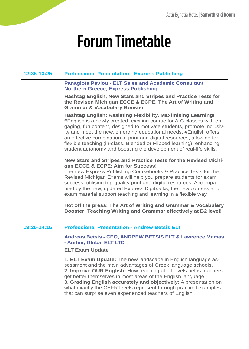## **12:35-13:25 Professional Presentation - Express Publishing**

## **Panagiota Pavlou - ELT Sales and Academic Consultant Northern Greece, Express Publishing**

**Hashtag English, New Stars and Stripes and Practice Tests for the Revised Michigan ECCE & ECPE, The Art of Writing and Grammar & Vocabulary Booster**

**Hashtag English: Assisting Flexibility, Maximising Learning!** #English is a newly created, exciting course for A-C classes with engaging, fun content, designed to motivate students, promote inclusivity and meet the new, emerging educational needs. #English offers an effective combination of print and digital resources, allowing for flexible teaching (in-class, Blended or Flipped learning), enhancing student autonomy and boosting the development of real-life skills.

## **New Stars and Stripes and Practice Tests for the Revised Michigan ECCE & ECPE: Aim for Success!**

The new Express Publishing Coursebooks & Practice Tests for the Revised Michigan Exams will help you prepare students for exam success, utilising top-quality print and digital resources. Accompanied by the new, updated Express Digibooks, the new courses and exam material support teaching and learning in a flexible way.

**Hot off the press: The Art of Writing and Grammar & Vocabulary Booster: Teaching Writing and Grammar effectively at B2 level!**

## **13:25-14:15 Professional Presentation - Andrew Betsis ELT**

**Andreas Betsis - CEO, ANDREW BETSIS ELT & Lawrence Mamas - Author, Global ELT LTD**

### **ELT Exam Update**

**1. ELT Exam Update:** The new landscape in English language assessment and the main advantages of Greek language schools. **2. Improve OUR English:** How teaching at all levels helps teachers get better themselves in most areas of the English language. **3. Grading English accurately and objectively:** A presentation on what exactly the CEFR levels represent through practical examples that can surprise even experienced teachers of English.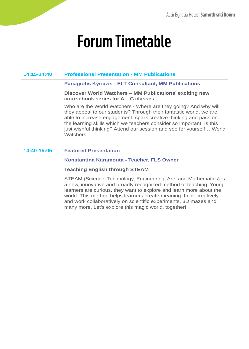## **14:15-14:40 Professional Presentation - MM Publications**

### **Panagiotis Kyriazis - ELT Consultant, MM Publications**

**Discover World Watchers – MM Publications' exciting new coursebook series for A – C classes.**

Who are the World Watchers? Where are they going? And why will they appeal to our students? Through their fantastic world, we are able to increase engagement, spark creative thinking and pass on the learning skills which we teachers consider so important. Is this just wishful thinking? Attend our session and see for yourself… World Watchers.

## **14:40-15:05 Featured Presentation**

### **Konstantina Karamouta - Teacher, FLS Owner**

## **Teaching English through STEAM**

STEAM (Science, Technology, Engineering, Arts and Mathematics) is a new, innovative and broadly recognized method of teaching. Young learners are curious, they want to explore and learn more about the world. This method helps learners create meaning, think creatively and work collaboratively on scientific experiments, 3D mazes and many more. Let's explore this magic world, together!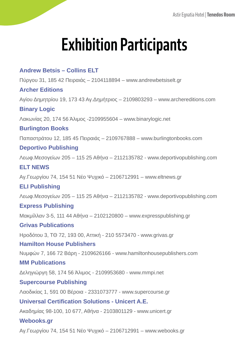## **Exhibition Participants**

## **Andrew Betsis – Collins ELT** Πύργου 31, 185 42 Πειραιάς – 2104118894 – www.andrewbetsiselt.gr **Archer Editions** Αγίου Δημητρίου 19, 173 43 Αγ.Δημήτριος – 2109803293 – www.archereditions.com **Binary Logic** Λακωνίας 20, 174 56 Άλιμος -2109955604 – www.binarylogic.net **Burlington Books** Παπαστράτου 12, 185 45 Πειραιάς – 2109767888 – www.burlingtonbooks.com **Deportivo Publishing** Λεωφ.Μεσογείων 205 – 115 25 Αθήνα – 2112135782 - www.deportivopublishing.com **ELT NEWS** Αγ.Γεωργίου 74, 154 51 Νέο Ψυχικό – 2106712991 – www.eltnews.gr **ELI Publishing** Λεωφ.Μεσογείων 205 – 115 25 Αθήνα – 2112135782 - www.deportivopublishing.com **Express Publishing** Μακμίλλαν 3-5, 111 44 Αθήνα – 2102120800 – www.expresspublishing.gr **Grivas Publications** Ηροδότου 3, ΤΘ 72, 193 00, Αττική - 210 5573470 - www.grivas.gr **Hamilton House Publishers** Νυμφών 7, 166 72 Βάρη - 2109626166 - www.hamiltonhousepublishers.com **MM Publications**  Δεληγιώργη 58, 174 56 Άλιμος - 2109953680 - www.mmpi.net **Supercourse Publishing**  Λαοδικίας 1, 591 00 Βέροια - 2331073777 - www.supercourse.gr **Universal Certification Solutions - Unicert A.E.** Ακαδημίας 98-100, 10 677, Αθήνα - 2103801129 - www.unicert.gr **Webooks.gr** Αγ.Γεωργίου 74, 154 51 Νέο Ψυχικό – 2106712991 – www.webooks.gr